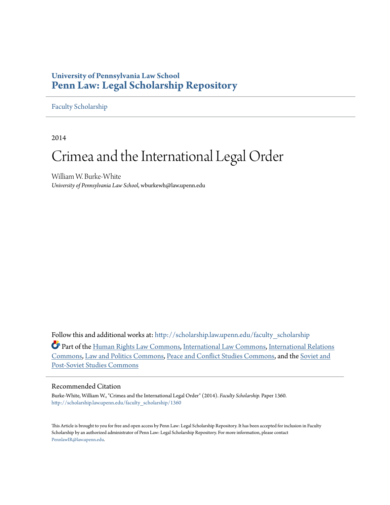### **University of Pennsylvania Law School [Penn Law: Legal Scholarship Repository](http://scholarship.law.upenn.edu?utm_source=scholarship.law.upenn.edu%2Ffaculty_scholarship%2F1360&utm_medium=PDF&utm_campaign=PDFCoverPages)**

#### [Faculty Scholarship](http://scholarship.law.upenn.edu/faculty_scholarship?utm_source=scholarship.law.upenn.edu%2Ffaculty_scholarship%2F1360&utm_medium=PDF&utm_campaign=PDFCoverPages)

2014

## Crimea and the International Legal Order

William W. Burke-White *University of Pennsylvania Law School*, wburkewh@law.upenn.edu

Follow this and additional works at: [http://scholarship.law.upenn.edu/faculty\\_scholarship](http://scholarship.law.upenn.edu/faculty_scholarship?utm_source=scholarship.law.upenn.edu%2Ffaculty_scholarship%2F1360&utm_medium=PDF&utm_campaign=PDFCoverPages)

Part of the [Human Rights Law Commons,](http://network.bepress.com/hgg/discipline/847?utm_source=scholarship.law.upenn.edu%2Ffaculty_scholarship%2F1360&utm_medium=PDF&utm_campaign=PDFCoverPages) [International Law Commons](http://network.bepress.com/hgg/discipline/609?utm_source=scholarship.law.upenn.edu%2Ffaculty_scholarship%2F1360&utm_medium=PDF&utm_campaign=PDFCoverPages), [International Relations](http://network.bepress.com/hgg/discipline/389?utm_source=scholarship.law.upenn.edu%2Ffaculty_scholarship%2F1360&utm_medium=PDF&utm_campaign=PDFCoverPages) [Commons,](http://network.bepress.com/hgg/discipline/389?utm_source=scholarship.law.upenn.edu%2Ffaculty_scholarship%2F1360&utm_medium=PDF&utm_campaign=PDFCoverPages) [Law and Politics Commons](http://network.bepress.com/hgg/discipline/867?utm_source=scholarship.law.upenn.edu%2Ffaculty_scholarship%2F1360&utm_medium=PDF&utm_campaign=PDFCoverPages), [Peace and Conflict Studies Commons](http://network.bepress.com/hgg/discipline/397?utm_source=scholarship.law.upenn.edu%2Ffaculty_scholarship%2F1360&utm_medium=PDF&utm_campaign=PDFCoverPages), and the [Soviet and](http://network.bepress.com/hgg/discipline/364?utm_source=scholarship.law.upenn.edu%2Ffaculty_scholarship%2F1360&utm_medium=PDF&utm_campaign=PDFCoverPages) [Post-Soviet Studies Commons](http://network.bepress.com/hgg/discipline/364?utm_source=scholarship.law.upenn.edu%2Ffaculty_scholarship%2F1360&utm_medium=PDF&utm_campaign=PDFCoverPages)

#### Recommended Citation

Burke-White, William W., "Crimea and the International Legal Order" (2014). *Faculty Scholarship.* Paper 1360. [http://scholarship.law.upenn.edu/faculty\\_scholarship/1360](http://scholarship.law.upenn.edu/faculty_scholarship/1360?utm_source=scholarship.law.upenn.edu%2Ffaculty_scholarship%2F1360&utm_medium=PDF&utm_campaign=PDFCoverPages)

This Article is brought to you for free and open access by Penn Law: Legal Scholarship Repository. It has been accepted for inclusion in Faculty Scholarship by an authorized administrator of Penn Law: Legal Scholarship Repository. For more information, please contact [PennlawIR@law.upenn.edu](mailto:PennlawIR@law.upenn.edu).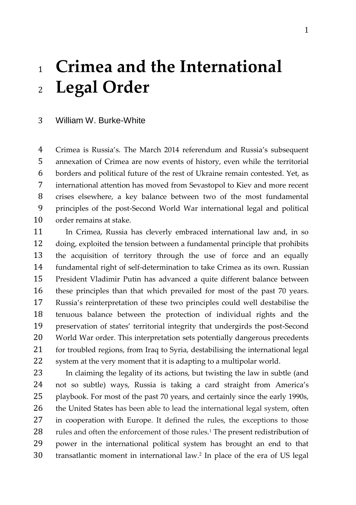# **Crimea and the International Legal Order**

#### William W. Burke-White

 Crimea is Russia's. The March 2014 referendum and Russia's subsequent annexation of Crimea are now events of history, even while the territorial borders and political future of the rest of Ukraine remain contested. Yet, as international attention has moved from Sevastopol to Kiev and more recent crises elsewhere, a key balance between two of the most fundamental principles of the post-Second World War international legal and political order remains at stake.

 In Crimea, Russia has cleverly embraced international law and, in so doing, exploited the tension between a fundamental principle that prohibits the acquisition of territory through the use of force and an equally fundamental right of self-determination to take Crimea as its own. Russian President Vladimir Putin has advanced a quite different balance between these principles than that which prevailed for most of the past 70 years. Russia's reinterpretation of these two principles could well destabilise the tenuous balance between the protection of individual rights and the preservation of states' territorial integrity that undergirds the post-Second World War order. This interpretation sets potentially dangerous precedents for troubled regions, from Iraq to Syria, destabilising the international legal system at the very moment that it is adapting to a multipolar world.

 In claiming the legality of its actions, but twisting the law in subtle (and not so subtle) ways, Russia is taking a card straight from America's playbook. For most of the past 70 years, and certainly since the early 1990s, 26 the United States has been able to lead the international legal system, often in cooperation with Europe. It defined the rules, the exceptions to those 28 rules and often the enforcement of those rules.<sup>1</sup> The present redistribution of power in the international political system has brought an end to that 30 transatlantic moment in international law.<sup>2</sup> In place of the era of US legal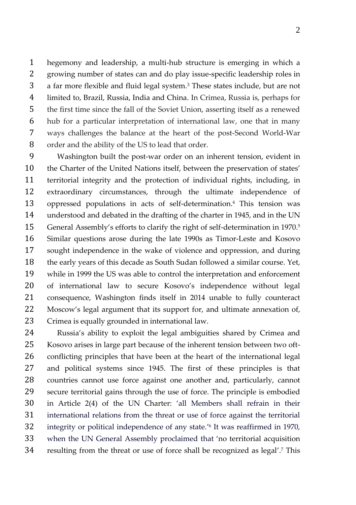hegemony and leadership, a multi-hub structure is emerging in which a growing number of states can and do play issue-specific leadership roles in 3 a far more flexible and fluid legal system.<sup>3</sup> These states include, but are not limited to, Brazil, Russia, India and China. In Crimea, Russia is, perhaps for the first time since the fall of the Soviet Union, asserting itself as a renewed hub for a particular interpretation of international law, one that in many ways challenges the balance at the heart of the post-Second World-War order and the ability of the US to lead that order.

 Washington built the post-war order on an inherent tension, evident in the Charter of the United Nations itself, between the preservation of states' territorial integrity and the protection of individual rights, including, in extraordinary circumstances, through the ultimate independence of 13 oppressed populations in acts of self-determination.<sup>4</sup> This tension was understood and debated in the drafting of the charter in 1945, and in the UN 15 General Assembly's efforts to clarify the right of self-determination in 1970.<sup>5</sup> Similar questions arose during the late 1990s as Timor-Leste and Kosovo sought independence in the wake of violence and oppression, and during the early years of this decade as South Sudan followed a similar course. Yet, while in 1999 the US was able to control the interpretation and enforcement of international law to secure Kosovo's independence without legal consequence, Washington finds itself in 2014 unable to fully counteract Moscow's legal argument that its support for, and ultimate annexation of, Crimea is equally grounded in international law.

 Russia's ability to exploit the legal ambiguities shared by Crimea and Kosovo arises in large part because of the inherent tension between two oft- conflicting principles that have been at the heart of the international legal and political systems since 1945. The first of these principles is that countries cannot use force against one another and, particularly, cannot secure territorial gains through the use of force. The principle is embodied in Article 2(4) of the UN Charter: 'all Members shall refrain in their international relations from the threat or use of force against the territorial 32 integrity or political independence of any state.<sup>'6</sup> It was reaffirmed in 1970, when the UN General Assembly proclaimed that 'no territorial acquisition 34 resulting from the threat or use of force shall be recognized as legal'.<sup>7</sup> This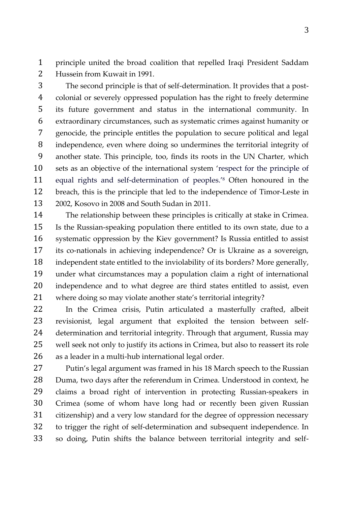principle united the broad coalition that repelled Iraqi President Saddam Hussein from Kuwait in 1991.

 The second principle is that of self-determination. It provides that a post- colonial or severely oppressed population has the right to freely determine its future government and status in the international community. In extraordinary circumstances, such as systematic crimes against humanity or genocide, the principle entitles the population to secure political and legal independence, even where doing so undermines the territorial integrity of another state. This principle, too, finds its roots in the UN Charter, which sets as an objective of the international system 'respect for the principle of 11 equal rights and self-determination of peoples.<sup>'8</sup> Often honoured in the breach, this is the principle that led to the independence of Timor-Leste in 2002, Kosovo in 2008 and South Sudan in 2011.

 The relationship between these principles is critically at stake in Crimea. Is the Russian-speaking population there entitled to its own state, due to a systematic oppression by the Kiev government? Is Russia entitled to assist its co-nationals in achieving independence? Or is Ukraine as a sovereign, independent state entitled to the inviolability of its borders? More generally, under what circumstances may a population claim a right of international independence and to what degree are third states entitled to assist, even where doing so may violate another state's territorial integrity?

 In the Crimea crisis, Putin articulated a masterfully crafted, albeit revisionist, legal argument that exploited the tension between self- determination and territorial integrity. Through that argument, Russia may well seek not only to justify its actions in Crimea, but also to reassert its role as a leader in a multi-hub international legal order.

 Putin's legal argument was framed in his 18 March speech to the Russian Duma, two days after the referendum in Crimea. Understood in context, he claims a broad right of intervention in protecting Russian-speakers in Crimea (some of whom have long had or recently been given Russian citizenship) and a very low standard for the degree of oppression necessary to trigger the right of self-determination and subsequent independence. In so doing, Putin shifts the balance between territorial integrity and self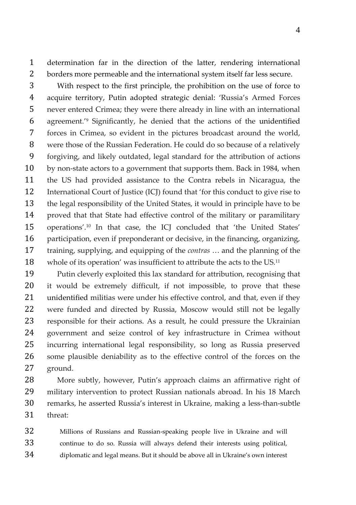determination far in the direction of the latter, rendering international borders more permeable and the international system itself far less secure.

 With respect to the first principle, the prohibition on the use of force to acquire territory, Putin adopted strategic denial: 'Russia's Armed Forces never entered Crimea; they were there already in line with an international 6 agreement.<sup>'9</sup> Significantly, he denied that the actions of the unidentified forces in Crimea, so evident in the pictures broadcast around the world, were those of the Russian Federation. He could do so because of a relatively forgiving, and likely outdated, legal standard for the attribution of actions by non-state actors to a government that supports them. Back in 1984, when the US had provided assistance to the Contra rebels in Nicaragua, the International Court of Justice (ICJ) found that 'for this conduct to give rise to the legal responsibility of the United States, it would in principle have to be proved that that State had effective control of the military or paramilitary 15 operations'.<sup>10</sup> In that case, the ICJ concluded that 'the United States' participation, even if preponderant or decisive, in the financing, organizing, training, supplying, and equipping of the *contras* … and the planning of the 18 whole of its operation' was insufficient to attribute the acts to the US.<sup>11</sup>

 Putin cleverly exploited this lax standard for attribution, recognising that it would be extremely difficult, if not impossible, to prove that these unidentified militias were under his effective control, and that, even if they were funded and directed by Russia, Moscow would still not be legally responsible for their actions. As a result, he could pressure the Ukrainian government and seize control of key infrastructure in Crimea without incurring international legal responsibility, so long as Russia preserved some plausible deniability as to the effective control of the forces on the ground.

 More subtly, however, Putin's approach claims an affirmative right of military intervention to protect Russian nationals abroad. In his 18 March remarks, he asserted Russia's interest in Ukraine, making a less-than-subtle threat:

 Millions of Russians and Russian-speaking people live in Ukraine and will continue to do so. Russia will always defend their interests using political, diplomatic and legal means. But it should be above all in Ukraine's own interest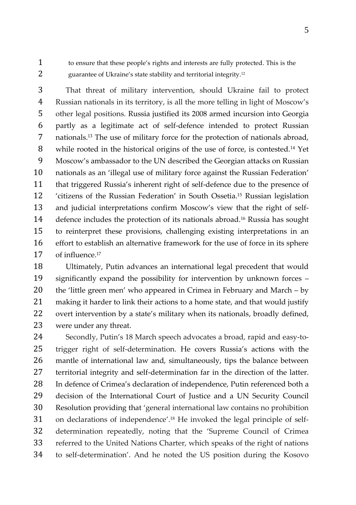to ensure that these people's rights and interests are fully protected. This is the 2 guarantee of Ukraine's state stability and territorial integrity.<sup>12</sup>

 That threat of military intervention, should Ukraine fail to protect Russian nationals in its territory, is all the more telling in light of Moscow's other legal positions. Russia justified its 2008 armed incursion into Georgia partly as a legitimate act of self-defence intended to protect Russian 7 nationals.<sup>13</sup> The use of military force for the protection of nationals abroad, 8 while rooted in the historical origins of the use of force, is contested.<sup>14</sup> Yet Moscow's ambassador to the UN described the Georgian attacks on Russian nationals as an 'illegal use of military force against the Russian Federation' that triggered Russia's inherent right of self-defence due to the presence of 12 'citizens of the Russian Federation' in South Ossetia.<sup>15</sup> Russian legislation and judicial interpretations confirm Moscow's view that the right of self-14 defence includes the protection of its nationals abroad.<sup>16</sup> Russia has sought to reinterpret these provisions, challenging existing interpretations in an effort to establish an alternative framework for the use of force in its sphere of influence.<sup>17</sup>

 Ultimately, Putin advances an international legal precedent that would significantly expand the possibility for intervention by unknown forces – the 'little green men' who appeared in Crimea in February and March – by making it harder to link their actions to a home state, and that would justify overt intervention by a state's military when its nationals, broadly defined, were under any threat.

 Secondly, Putin's 18 March speech advocates a broad, rapid and easy-to- trigger right of self-determination. He covers Russia's actions with the mantle of international law and, simultaneously, tips the balance between territorial integrity and self-determination far in the direction of the latter. In defence of Crimea's declaration of independence, Putin referenced both a decision of the International Court of Justice and a UN Security Council Resolution providing that 'general international law contains no prohibition 31 on declarations of independence'.<sup>18</sup> He invoked the legal principle of self- determination repeatedly, noting that the 'Supreme Council of Crimea referred to the United Nations Charter, which speaks of the right of nations to self-determination'. And he noted the US position during the Kosovo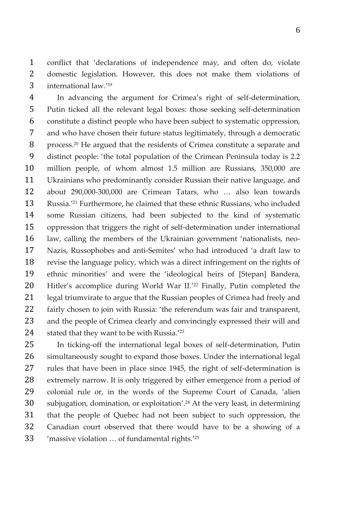conflict that 'declarations of independence may, and often do, violate domestic legislation. However, this does not make them violations of 3 international law.

 In advancing the argument for Crimea's right of self-determination, Putin ticked all the relevant legal boxes: those seeking self-determination constitute a distinct people who have been subject to systematic oppression, and who have chosen their future status legitimately, through a democratic 8 process.<sup>20</sup> He argued that the residents of Crimea constitute a separate and distinct people: 'the total population of the Crimean Peninsula today is 2.2 million people, of whom almost 1.5 million are Russians, 350,000 are Ukrainians who predominantly consider Russian their native language, and about 290,000-300,000 are Crimean Tatars, who … also lean towards 13 Russia.<sup>'21</sup> Furthermore, he claimed that these ethnic Russians, who included some Russian citizens, had been subjected to the kind of systematic oppression that triggers the right of self-determination under international law, calling the members of the Ukrainian government 'nationalists, neo- Nazis, Russophobes and anti-Semites' who had introduced 'a draft law to revise the language policy, which was a direct infringement on the rights of ethnic minorities' and were the 'ideological heirs of [Stepan] Bandera, 20 Hitler's accomplice during World War II.<sup>'22</sup> Finally, Putin completed the legal triumvirate to argue that the Russian peoples of Crimea had freely and fairly chosen to join with Russia: 'the referendum was fair and transparent, and the people of Crimea clearly and convincingly expressed their will and 24 stated that they want to be with Russia.

 In ticking-off the international legal boxes of self-determination, Putin simultaneously sought to expand those boxes. Under the international legal rules that have been in place since 1945, the right of self-determination is extremely narrow. It is only triggered by either emergence from a period of colonial rule or, in the words of the Supreme Court of Canada, 'alien 30 subjugation, domination, or exploitation'.<sup>24</sup> At the very least, in determining that the people of Quebec had not been subject to such oppression, the Canadian court observed that there would have to be a showing of a 33 / massive violation ... of fundamental rights.<sup>'25</sup>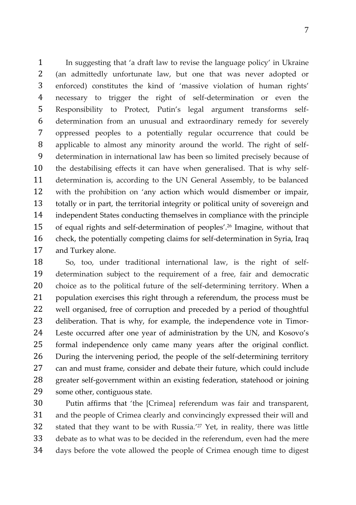In suggesting that 'a draft law to revise the language policy' in Ukraine (an admittedly unfortunate law, but one that was never adopted or enforced) constitutes the kind of 'massive violation of human rights' necessary to trigger the right of self-determination or even the Responsibility to Protect, Putin's legal argument transforms self- determination from an unusual and extraordinary remedy for severely oppressed peoples to a potentially regular occurrence that could be applicable to almost any minority around the world. The right of self- determination in international law has been so limited precisely because of the destabilising effects it can have when generalised. That is why self- determination is, according to the UN General Assembly, to be balanced with the prohibition on 'any action which would dismember or impair, totally or in part, the territorial integrity or political unity of sovereign and independent States conducting themselves in compliance with the principle 15 of equal rights and self-determination of peoples'.<sup>26</sup> Imagine, without that check, the potentially competing claims for self-determination in Syria, Iraq and Turkey alone.

 So, too, under traditional international law, is the right of self- determination subject to the requirement of a free, fair and democratic choice as to the political future of the self-determining territory. When a population exercises this right through a referendum, the process must be well organised, free of corruption and preceded by a period of thoughtful deliberation. That is why, for example, the independence vote in Timor- Leste occurred after one year of administration by the UN, and Kosovo's formal independence only came many years after the original conflict. During the intervening period, the people of the self-determining territory can and must frame, consider and debate their future, which could include greater self-government within an existing federation, statehood or joining some other, contiguous state.

 Putin affirms that 'the [Crimea] referendum was fair and transparent, and the people of Crimea clearly and convincingly expressed their will and 32 stated that they want to be with Russia.<sup>'27</sup> Yet, in reality, there was little debate as to what was to be decided in the referendum, even had the mere days before the vote allowed the people of Crimea enough time to digest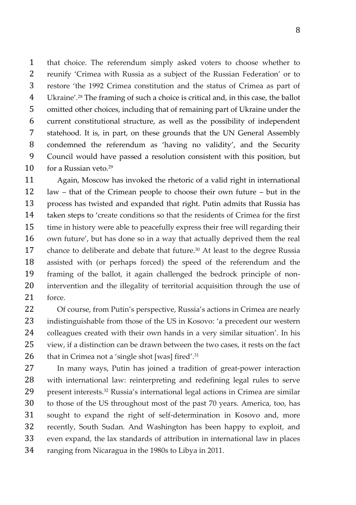that choice. The referendum simply asked voters to choose whether to reunify 'Crimea with Russia as a subject of the Russian Federation' or to restore 'the 1992 Crimea constitution and the status of Crimea as part of 4 Ukraine'.<sup>28</sup> The framing of such a choice is critical and, in this case, the ballot omitted other choices, including that of remaining part of Ukraine under the current constitutional structure, as well as the possibility of independent statehood. It is, in part, on these grounds that the UN General Assembly condemned the referendum as 'having no validity', and the Security Council would have passed a resolution consistent with this position, but 10 for a Russian veto.

 Again, Moscow has invoked the rhetoric of a valid right in international law – that of the Crimean people to choose their own future – but in the process has twisted and expanded that right. Putin admits that Russia has taken steps to 'create conditions so that the residents of Crimea for the first time in history were able to peacefully express their free will regarding their own future', but has done so in a way that actually deprived them the real 17 chance to deliberate and debate that future.<sup>30</sup> At least to the degree Russia assisted with (or perhaps forced) the speed of the referendum and the framing of the ballot, it again challenged the bedrock principle of non- intervention and the illegality of territorial acquisition through the use of force.

 Of course, from Putin's perspective, Russia's actions in Crimea are nearly indistinguishable from those of the US in Kosovo: 'a precedent our western colleagues created with their own hands in a very similar situation'. In his view, if a distinction can be drawn between the two cases, it rests on the fact 26 that in Crimea not a 'single shot [was] fired'.

 In many ways, Putin has joined a tradition of great-power interaction with international law: reinterpreting and redefining legal rules to serve 29 present interests.<sup>32</sup> Russia's international legal actions in Crimea are similar to those of the US throughout most of the past 70 years. America, too, has sought to expand the right of self-determination in Kosovo and, more recently, South Sudan. And Washington has been happy to exploit, and even expand, the lax standards of attribution in international law in places ranging from Nicaragua in the 1980s to Libya in 2011.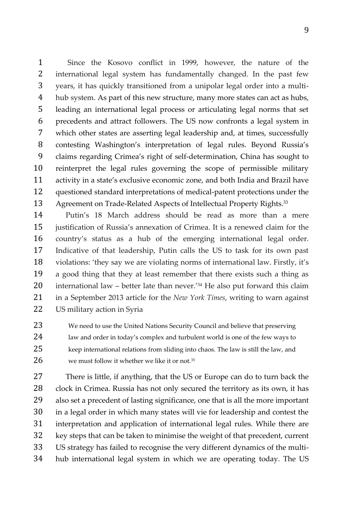Since the Kosovo conflict in 1999, however, the nature of the international legal system has fundamentally changed. In the past few years, it has quickly transitioned from a unipolar legal order into a multi- hub system. As part of this new structure, many more states can act as hubs, leading an international legal process or articulating legal norms that set precedents and attract followers. The US now confronts a legal system in which other states are asserting legal leadership and, at times, successfully contesting Washington's interpretation of legal rules. Beyond Russia's claims regarding Crimea's right of self-determination, China has sought to reinterpret the legal rules governing the scope of permissible military activity in a state's exclusive economic zone, and both India and Brazil have questioned standard interpretations of medical-patent protections under the 13 Agreement on Trade-Related Aspects of Intellectual Property Rights.<sup>33</sup>

 Putin's 18 March address should be read as more than a mere justification of Russia's annexation of Crimea. It is a renewed claim for the country's status as a hub of the emerging international legal order. Indicative of that leadership, Putin calls the US to task for its own past violations: 'they say we are violating norms of international law. Firstly, it's a good thing that they at least remember that there exists such a thing as 20 international law – better late than never.<sup>'34</sup> He also put forward this claim in a September 2013 article for the *New York Times*, writing to warn against US military action in Syria

 We need to use the United Nations Security Council and believe that preserving law and order in today's complex and turbulent world is one of the few ways to keep international relations from sliding into chaos. The law is still the law, and we must follow it whether we like it or not.<sup>35</sup>

 There is little, if anything, that the US or Europe can do to turn back the clock in Crimea. Russia has not only secured the territory as its own, it has also set a precedent of lasting significance, one that is all the more important in a legal order in which many states will vie for leadership and contest the interpretation and application of international legal rules. While there are key steps that can be taken to minimise the weight of that precedent, current US strategy has failed to recognise the very different dynamics of the multi-hub international legal system in which we are operating today. The US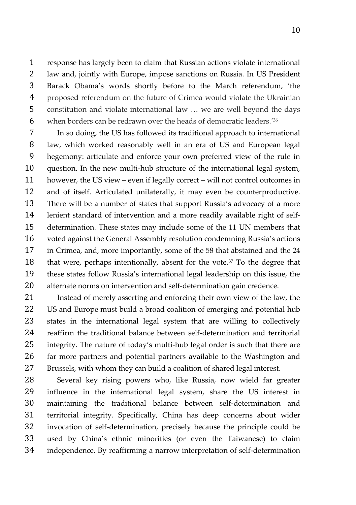response has largely been to claim that Russian actions violate international law and, jointly with Europe, impose sanctions on Russia. In US President Barack Obama's words shortly before to the March referendum, 'the proposed referendum on the future of Crimea would violate the Ukrainian constitution and violate international law … we are well beyond the days 6 when borders can be redrawn over the heads of democratic leaders.<sup>'36</sup>

 In so doing, the US has followed its traditional approach to international law, which worked reasonably well in an era of US and European legal hegemony: articulate and enforce your own preferred view of the rule in question. In the new multi-hub structure of the international legal system, however, the US view – even if legally correct – will not control outcomes in and of itself. Articulated unilaterally, it may even be counterproductive. There will be a number of states that support Russia's advocacy of a more lenient standard of intervention and a more readily available right of self- determination. These states may include some of the 11 UN members that voted against the General Assembly resolution condemning Russia's actions in Crimea, and, more importantly, some of the 58 that abstained and the 24 18 that were, perhaps intentionally, absent for the vote. To the degree that these states follow Russia's international legal leadership on this issue, the alternate norms on intervention and self-determination gain credence.

 Instead of merely asserting and enforcing their own view of the law, the 22 US and Europe must build a broad coalition of emerging and potential hub states in the international legal system that are willing to collectively reaffirm the traditional balance between self-determination and territorial integrity. The nature of today's multi-hub legal order is such that there are far more partners and potential partners available to the Washington and Brussels, with whom they can build a coalition of shared legal interest.

 Several key rising powers who, like Russia, now wield far greater influence in the international legal system, share the US interest in maintaining the traditional balance between self-determination and territorial integrity. Specifically, China has deep concerns about wider invocation of self-determination, precisely because the principle could be used by China's ethnic minorities (or even the Taiwanese) to claim independence. By reaffirming a narrow interpretation of self-determination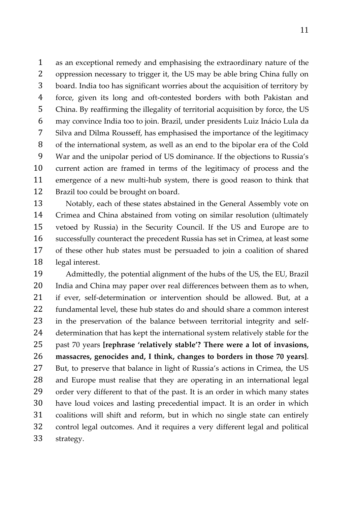as an exceptional remedy and emphasising the extraordinary nature of the oppression necessary to trigger it, the US may be able bring China fully on board. India too has significant worries about the acquisition of territory by force, given its long and oft-contested borders with both Pakistan and China. By reaffirming the illegality of territorial acquisition by force, the US may convince India too to join. Brazil, under presidents Luiz Inácio Lula da Silva and Dilma Rousseff, has emphasised the importance of the legitimacy of the international system, as well as an end to the bipolar era of the Cold War and the unipolar period of US dominance. If the objections to Russia's current action are framed in terms of the legitimacy of process and the emergence of a new multi-hub system, there is good reason to think that Brazil too could be brought on board.

 Notably, each of these states abstained in the General Assembly vote on Crimea and China abstained from voting on similar resolution (ultimately vetoed by Russia) in the Security Council. If the US and Europe are to successfully counteract the precedent Russia has set in Crimea, at least some of these other hub states must be persuaded to join a coalition of shared legal interest.

 Admittedly, the potential alignment of the hubs of the US, the EU, Brazil India and China may paper over real differences between them as to when, if ever, self-determination or intervention should be allowed. But, at a fundamental level, these hub states do and should share a common interest in the preservation of the balance between territorial integrity and self- determination that has kept the international system relatively stable for the past 70 years **[rephrase 'relatively stable'? There were a lot of invasions, massacres, genocides and, I think, changes to borders in those 70 years]**. But, to preserve that balance in light of Russia's actions in Crimea, the US and Europe must realise that they are operating in an international legal order very different to that of the past. It is an order in which many states have loud voices and lasting precedential impact. It is an order in which coalitions will shift and reform, but in which no single state can entirely control legal outcomes. And it requires a very different legal and political strategy.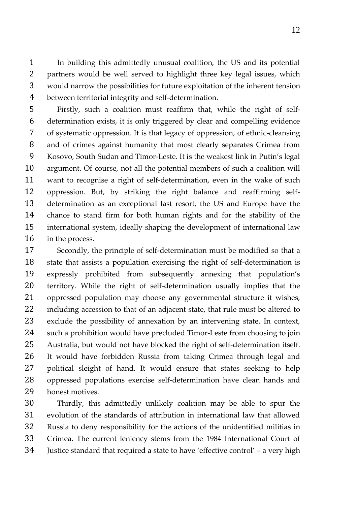In building this admittedly unusual coalition, the US and its potential partners would be well served to highlight three key legal issues, which would narrow the possibilities for future exploitation of the inherent tension between territorial integrity and self-determination.

 Firstly, such a coalition must reaffirm that, while the right of self- determination exists, it is only triggered by clear and compelling evidence of systematic oppression. It is that legacy of oppression, of ethnic-cleansing and of crimes against humanity that most clearly separates Crimea from Kosovo, South Sudan and Timor-Leste. It is the weakest link in Putin's legal argument. Of course, not all the potential members of such a coalition will want to recognise a right of self-determination, even in the wake of such oppression. But, by striking the right balance and reaffirming self- determination as an exceptional last resort, the US and Europe have the chance to stand firm for both human rights and for the stability of the international system, ideally shaping the development of international law in the process.

 Secondly, the principle of self-determination must be modified so that a state that assists a population exercising the right of self-determination is expressly prohibited from subsequently annexing that population's territory. While the right of self-determination usually implies that the oppressed population may choose any governmental structure it wishes, including accession to that of an adjacent state, that rule must be altered to exclude the possibility of annexation by an intervening state. In context, such a prohibition would have precluded Timor-Leste from choosing to join Australia, but would not have blocked the right of self-determination itself. It would have forbidden Russia from taking Crimea through legal and political sleight of hand. It would ensure that states seeking to help oppressed populations exercise self-determination have clean hands and honest motives.

 Thirdly, this admittedly unlikely coalition may be able to spur the evolution of the standards of attribution in international law that allowed Russia to deny responsibility for the actions of the unidentified militias in Crimea. The current leniency stems from the 1984 International Court of Justice standard that required a state to have 'effective control' – a very high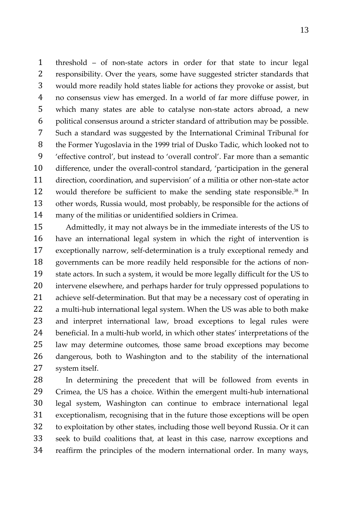threshold – of non-state actors in order for that state to incur legal responsibility. Over the years, some have suggested stricter standards that would more readily hold states liable for actions they provoke or assist, but no consensus view has emerged. In a world of far more diffuse power, in which many states are able to catalyse non-state actors abroad, a new political consensus around a stricter standard of attribution may be possible. Such a standard was suggested by the International Criminal Tribunal for the Former Yugoslavia in the 1999 trial of Dusko Tadic, which looked not to 'effective control', but instead to 'overall control'. Far more than a semantic difference, under the overall-control standard, 'participation in the general direction, coordination, and supervision' of a militia or other non-state actor 12 would therefore be sufficient to make the sending state responsible.<sup>38</sup> In other words, Russia would, most probably, be responsible for the actions of many of the militias or unidentified soldiers in Crimea.

 Admittedly, it may not always be in the immediate interests of the US to have an international legal system in which the right of intervention is exceptionally narrow, self-determination is a truly exceptional remedy and governments can be more readily held responsible for the actions of non- state actors. In such a system, it would be more legally difficult for the US to intervene elsewhere, and perhaps harder for truly oppressed populations to achieve self-determination. But that may be a necessary cost of operating in a multi-hub international legal system. When the US was able to both make and interpret international law, broad exceptions to legal rules were beneficial. In a multi-hub world, in which other states' interpretations of the law may determine outcomes, those same broad exceptions may become dangerous, both to Washington and to the stability of the international system itself.

 In determining the precedent that will be followed from events in Crimea, the US has a choice. Within the emergent multi-hub international legal system, Washington can continue to embrace international legal exceptionalism, recognising that in the future those exceptions will be open to exploitation by other states, including those well beyond Russia. Or it can seek to build coalitions that, at least in this case, narrow exceptions and reaffirm the principles of the modern international order. In many ways,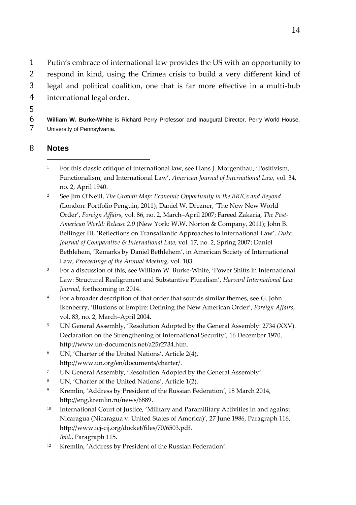Putin's embrace of international law provides the US with an opportunity to respond in kind, using the Crimea crisis to build a very different kind of legal and political coalition, one that is far more effective in a multi-hub international legal order.

5

6 **William W. Burke-White** is Richard Perry Professor and Inaugural Director, Perry World House, 7 University of Pennsylvania.

### 8 **Notes**  $\overline{a}$

- <sup>1</sup> For this classic critique of international law, see Hans J. Morgenthau, 'Positivism, Functionalism, and International Law', *American Journal of International Law*, vol. 34, no. 2, April 1940.
- <sup>2</sup> See Jim O'Neill, *The Growth Map: Economic Opportunity in the BRICs and Beyond* (London: Portfolio Penguin, 2011); Daniel W. Drezner, 'The New New World Order', *Foreign Affairs*, vol. 86, no. 2, March–April 2007; Fareed Zakaria, *The Post-American World: Release 2.0* (New York: W.W. Norton & Company, 2011); John B. Bellinger III, 'Reflections on Transatlantic Approaches to International Law', *Duke Journal of Comparative & International Law*, vol. 17, no. 2, Spring 2007; Daniel Bethlehem, 'Remarks by Daniel Bethlehem', in American Society of International Law, *Proceedings of the Annual Meeting*, vol. 103.
- <sup>3</sup> For a discussion of this, see William W. Burke-White, 'Power Shifts in International Law: Structural Realignment and Substantive Pluralism', *Harvard International Law Journal*, forthcoming in 2014.
- <sup>4</sup> For a broader description of that order that sounds similar themes, see G. John Ikenberry, 'Illusions of Empire: Defining the New American Order', *Foreign Affairs*, vol. 83, no. 2, March–April 2004.
- <sup>5</sup> UN General Assembly, 'Resolution Adopted by the General Assembly: 2734 (XXV). Declaration on the Strengthening of International Security', 16 December 1970, http://www.un-documents.net/a25r2734.htm.
- <sup>6</sup> UN, 'Charter of the United Nations', Article 2(4), http://www.un.org/en/documents/charter/.
- <sup>7</sup> UN General Assembly, 'Resolution Adopted by the General Assembly'.
- <sup>8</sup> UN, 'Charter of the United Nations', Article 1(2).
- <sup>9</sup> Kremlin, 'Address by President of the Russian Federation', 18 March 2014, http://eng.kremlin.ru/news/6889.
- <sup>10</sup> International Court of Justice, 'Military and Paramilitary Activities in and against Nicaragua (Nicaragua v. United States of America)', 27 June 1986, Paragraph 116, http://www.icj-cij.org/docket/files/70/6503.pdf.
- <sup>11</sup> *Ibid*., Paragraph 115.
- <sup>12</sup> Kremlin, 'Address by President of the Russian Federation'.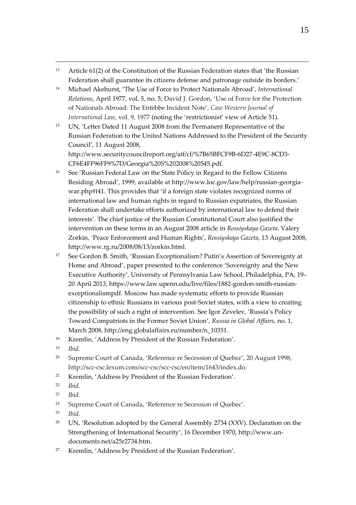- <sup>13</sup> Article 61(2) of the Constitution of the Russian Federation states that 'the Russian Federation shall guarantee its citizens defense and patronage outside its borders.'
- <sup>14</sup> Michael Akehurst, 'The Use of Force to Protect Nationals Abroad', *International Relations*, April 1977, vol. 5, no. 5; David J. Gordon, 'Use of Force for the Protection of Nationals Abroad: The Entebbe Incident Note', *Case Western Journal of International Law*, vol. 9, 1977 (noting the 'restrictionist' view of Article 51).
- <sup>15</sup> UN, 'Letter Dated 11 August 2008 from the Permanent Representative of the Russian Federation to the United Nations Addressed to the President of the Security Council', 11 August 2008, http://www.securitycouncilreport.org/atf/cf/%7B65BFCF9B-6D27-4E9C-8CD3-

CF6E4FF96FF9%7D/Georgia%20S%202008%20545.pdf.

- <sup>16</sup> See 'Russian Federal Law on the State Policy in Regard to the Fellow Citizens Residing Abroad', 1999, available at http://www.loc.gov/law/help/russian-georgiawar.php#t41. This provides that 'if a foreign state violates recognized norms of international law and human rights in regard to Russian expatriates, the Russian Federation shall undertake efforts authorized by international law to defend their interests'. The chief justice of the Russian Constitutional Court also justified the intervention on these terms in an August 2008 article in *Rossiyskaya Gazeta*. Valery Zorkin, 'Peace Enforcement and Human Rights', *Rossiyskaya Gazeta*, 13 August 2008, http://www.rg.ru/2008/08/13/zorkin.html.
- <sup>17</sup> See Gordon B. Smith, 'Russian Exceptionalism? Putin's Assertion of Sovereignty at Home and Abroad', paper presented to the conference 'Sovereignty and the New Executive Authority', University of Pennsylvania Law School, Philadelphia, PA, 19– 20 April 2013, https://www.law.upenn.edu/live/files/1882-gordon-smith-russianexceptionalismpdf. Moscow has made systematic efforts to provide Russian citizenship to ethnic Russians in various post-Soviet states, with a view to creating the possibility of such a right of intervention. See Igor Zevelev, 'Russia's Policy Toward Compatriots in the Former Soviet Union', *Russia in Global Affairs*, no. 1, March 2008, http://eng.globalaffairs.ru/number/n\_10351.
- <sup>18</sup> Kremlin, 'Address by President of the Russian Federation'.
- <sup>19</sup> *Ibid*.

 $\overline{a}$ 

- <sup>20</sup> Supreme Court of Canada, 'Reference re Secession of Quebec', 20 August 1998, http://scc-csc.lexum.com/scc-csc/scc-csc/en/item/1643/index.do.
- <sup>21</sup> Kremlin, 'Address by President of the Russian Federation'.
- <sup>22</sup> *Ibid*.
- <sup>23</sup> *Ibid*.
- <sup>24</sup> Supreme Court of Canada, 'Reference re Secession of Quebec'.
- <sup>25</sup> *Ibid*.
- <sup>26</sup> UN, 'Resolution adopted by the General Assembly 2734 (XXV). Declaration on the Strengthening of International Security', 16 December 1970, http://www.undocuments.net/a25r2734.htm.
- <sup>27</sup> Kremlin, 'Address by President of the Russian Federation'.